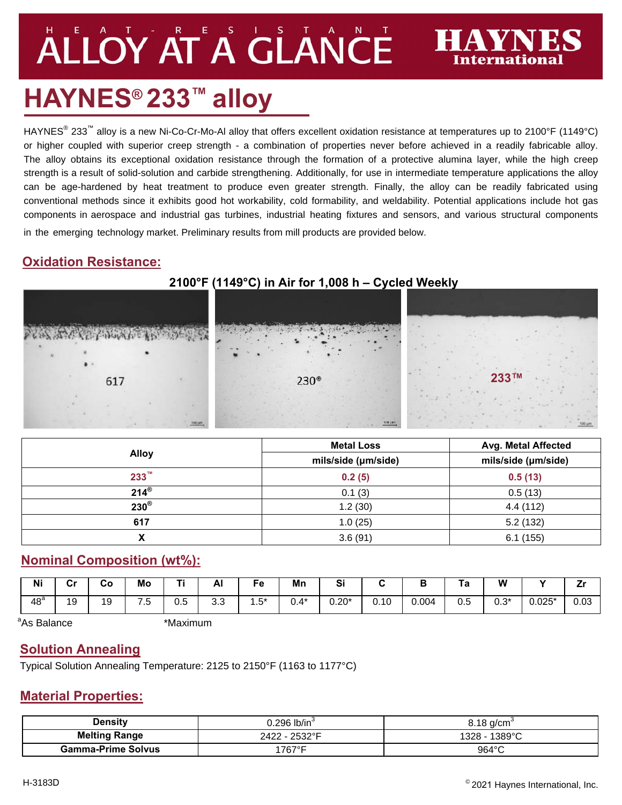# ALLOY AT A GLANCE

# **HAYNES® 233™ alloy**

HAYNES<sup>®</sup> 233<sup>™</sup> alloy is a new Ni-Co-Cr-Mo-Al alloy that offers excellent oxidation resistance at temperatures up to 2100°F (1149°C) or higher coupled with superior creep strength - a combination of properties never before achieved in a readily fabricable alloy. The alloy obtains its exceptional oxidation resistance through the formation of a protective alumina layer, while the high creep strength is a result of solid-solution and carbide strengthening. Additionally, for use in intermediate temperature applications the alloy can be age-hardened by heat treatment to produce even greater strength. Finally, the alloy can be readily fabricated using conventional methods since it exhibits good hot workability, cold formability, and weldability. Potential applications include hot gas components in aerospace and industrial gas turbines, industrial heating fixtures and sensors, and various structural components

in the emerging technology market. Preliminary results from mill products are provided below.

# **Oxidation Resistance:**

# **233™**  $230^\circ$ 617

|                    | <b>Metal Loss</b>   | Avg. Metal Affected |  |  |
|--------------------|---------------------|---------------------|--|--|
| <b>Alloy</b>       | mils/side (µm/side) | mils/side (µm/side) |  |  |
| $233^{\mathrm{m}}$ | 0.2(5)              | 0.5(13)             |  |  |
| $214^{\circ}$      | 0.1(3)              | 0.5(13)             |  |  |
| $230^\circ$        | 1.2(30)             | 4.4(112)            |  |  |
| 617                | 1.0(25)             | 5.2(132)            |  |  |
|                    | 3.6(91)             | 6.1(155)            |  |  |

# **Nominal Composition (wt%):**

| <b>Ni</b>       | <b>C-</b><br>vı | Co | Mo                                | <b>TI</b> | Al       | Fe                                   | Mn      | $\mathbf{C}$<br>ວເ |      | P     | ١a                | W           | - -      |      |
|-----------------|-----------------|----|-----------------------------------|-----------|----------|--------------------------------------|---------|--------------------|------|-------|-------------------|-------------|----------|------|
| 48 <sup>a</sup> | 10              | 19 | $\overline{\phantom{0}}$<br>∽<br> | 0.5       | ົ<br>ა.ა | $F*$<br>$\ddot{\phantom{1}}$<br>ن. ا | $J.4^*$ | $0.20*$            | 0.10 | 0.004 | $\sim$ $-$<br>U.O | ∩ ∩*<br>υ.υ | $0.025*$ | 0.03 |

```
<sup>a</sup>As Balance the absolute of the set of the set of the set of the set of the set of the set of the set of the set o
```
# **Solution Annealing**

Typical Solution Annealing Temperature: 2125 to 2150°F (1163 to 1177°C)

#### **Material Properties:**

| <b>Density</b>            | ).296 lb/in $^{\circ}$ | $8.18$ a/cm <sup>3</sup> |  |  |
|---------------------------|------------------------|--------------------------|--|--|
| <b>Melting Range</b>      | 2422 - 2532°F          | 1389°C<br>$1328 -$       |  |  |
| <b>Gamma-Prime Solvus</b> | $1767$ °F              | $964^{\circ}$ C          |  |  |

**AVNE** 

International

# **2100°F (1149°C) in Air for 1,008 h – Cycled Weekly**